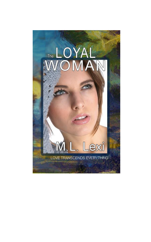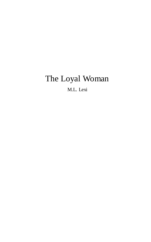# The Loyal Woman

M.L. Lexi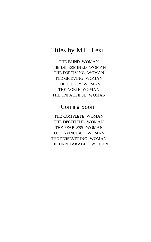#### Titles by M.L. Lexi

THE BLIND WOMAN THE DETERMINED WOMAN THE FORGIVING WOMAN THE GRIEVING WOMAN THE GUILTY WOMAN THE NOBLE WOMAN THE UNFAITHFUL WOMAN

### Coming Soon

THE COMPLETE WOMAN THE DECEITFUL WOMAN THE FEARLESS WOMAN THE INVINCIBLE WOMAN THE PERSEVERING WOMAN THE UNBREAKABLE WOMAN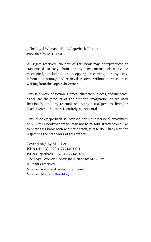"The Loyal Woman" eBook/Paperback Edition Published by M.L. Lexi

All rights reserved. No part of this book may be reproduced or transmitted in any form, or by any means, electronic or mechanical, including photocopying, recording, or by any information storage and retrieval system, without permission in writing from the copyright owner.

This is a work of fiction. Names, characters, places, and incidents either are the product of the author's imagination or are used fictitiously, and any resemblance to any actual persons, living or dead, events, or locales is entirely coincidental.

This eBook/paperback is licensed for your personal enjoyment only. This eBook/paperback may not be re-sold. If you would like to share this book with another person, please do. Thank you for respecting the hard work of this author.

Cover design by M.L. Lexi ISBN (eBook): 978-1-7771453-6-1 ISBN (Paperback): 978-1-7771453-7-8 The Loyal Woman Copyright © 2022 by M.L. Lexi All rights reserved. Visit our website at [www.mllexi.com](https://www.mllexi.com/) Visit our blog at [mllexi.blog](https://mllexi.blog/)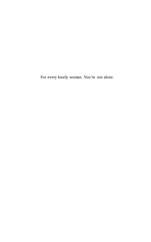For every lonely woman. You're not alone.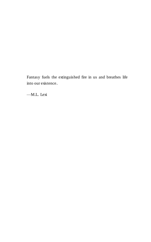Fantasy fuels the extinguished fire in us and breathes life into our existence.

—M.L. Lexi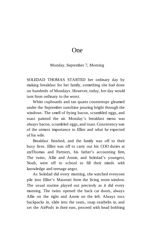#### One

Monday, September 7, Morning

SOLEDAD THOMAS STARTED her ordinary day by making breakfast for her family, something she had done on hundreds of Mondays. However, today, her day would turn from ordinary to the worst.

White cupboards and tan quartz countertops gleamed under the September sunshine pouring bright through the windows. The smell of frying bacon, scrambled eggs, and toast painted the air. Monday's breakfast menu was always bacon, scrambled eggs, and toast. Consistency was of the utmost importance to Elliot and what he expected of his wife.

Breakfast finished, and the family was off to their busy lives. Elliot was off to carry out his COO duties at zzzThomas and Partners, his father's accounting firm. The twins, Allie and Annie, and Soledad's youngest, Noah, were off to school to fill their minds with knowledge and teenage angst.

As Soledad did every morning, she watched everyone pile into Elliot's Maserati from the living room window. The usual routine played out precisely as it did every morning. The twins opened the back car doors, always Allie on the right and Annie on the left. Always toss backpacks in, slide into the seats, snap seatbelts in, and set the AirPods in their ears, proceed with head bobbing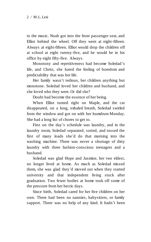to the music. Noah got into the front passenger seat, and Elliot behind the wheel. Off they went at eight-fifteen. Always at eight-fifteen. Elliot would drop the children off at school at eight twenty-five, and he would be in his office by eight fifty-five. Always.

Monotony and repetitiveness had become Soledad's life, and Christ, she hated the feeling of boredom and predictability that was her life.

Her family wasn't tedious, her children anything but monotone. Soledad loved her children and husband, and she loved who they were. Or did she?

Doubt had become the essence of her being.

When Elliot turned right on Maple, and the car disappeared, on a long, exhaled breath, Soledad swirled from the window and got on with her humdrum Monday. She had a long list of chores to get to.

First on the day's schedule was laundry, and in the laundry room, Soledad separated, sorted, and tossed the first of many loads she'd do that morning into the washing machine. There was never a shortage of dirty laundry with three fashion-conscious teenagers and a husband.

Soledad was glad Hope and Jasmine, her two eldest, no longer lived at home. As much as Soledad missed them, she was glad they'd moved out when they started university and that independent living stuck after graduation. Two fewer bodies at home took off some of the pressure from her hectic days.

Since birth, Soledad cared for her five children on her own. There had been no nannies, babysitters, or family support. There was no help of any kind. It hadn't been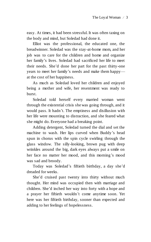easy. At times, it had been stressful. It was often taxing on the body and mind, but Soledad had done it.

Elliot was the professional, the educated one, the breadwinner. Soledad was the stay-at-home mom, and her job was to care for the children and home and organize her family's lives. Soledad had sacrificed her life to meet their needs. She'd done her part for the past thirty-one years to meet her family's needs and make them happy at the cost of her happiness.

As much as Soledad loved her children and enjoyed being a mother and wife, her resentment was ready to burst.

Soledad told herself every married woman went through the existential crisis she was going through, and it would pass. It hadn't. The emptiness and disillusion with her life were mounting to distraction, and she feared what she might do. Everyone had a breaking point.

Adding detergent, Soledad turned the dial and set the machine to wash. Her lips curved when Buddy's head spun in chorus with the spin cycle swirling through the glass window. The silly-looking, brown pug with deep wrinkles around the big, dark eyes always put a smile on her face no matter her mood, and this morning's mood was sad and broody.

Today was Soledad's fiftieth birthday, a day she'd dreaded for weeks.

She'd cruised past twenty into thirty without much thought. Her mind was occupied then with marriage and children. She'd inched her way into forty with a hope and a prayer her fiftieth wouldn't come anytime soon. Yet here was her fiftieth birthday, sooner than expected and adding to her feelings of hopelessness.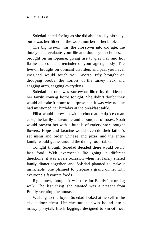Soledad hated feeling as she did about a silly birthday, but it was her fiftieth—the worst number in her books.

The big five-oh was the crossover into old age, the time you re-evaluate your life and doubt your choices. It brought on menopause, giving rise to gray hair and hot flashes, a constant reminder of your ageing body. The five-oh brought on dormant disorders and pain you never imagined would touch you. Worse, fifty brought on drooping boobs, the horrors of the turkey neck, and sagging arms, sagging everything.

Soledad's mood was somewhat lifted by the idea of her family coming home tonight. She didn't doubt they would all make it home to surprise her. It was why no one had mentioned her birthday at the breakfast table.

Elliot would show up with a chocolate-chip ice cream cake, the family's favourite and a bouquet of roses. Noah would present her with a bundle of variety-store bought flowers. Hope and Jasmine would override their father's set menu and order Chinese and pizza, and the entire family would gather around the dining room table.

Tonight though, Soledad decided there would be no fast food. With everyone's life going in different directions, it was a rare occasion when her family shared family dinner together, and Soledad planned to make it memorable. She planned to prepare a grand dinner with everyone's favourite foods.

Right now, though, it was time for Buddy's morning walk. The last thing she wanted was a present from Buddy scenting the house.

Walking to the foyer, Soledad looked at herself in the closet door mirror. Her chestnut hair was bound into a messy ponytail. Black leggings designed to smooth out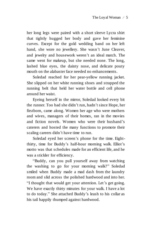her long legs were paired with a short sleeve Lycra shirt that tightly hugged her body and gave her feminine curves. Except for the gold wedding band on her left hand, she wore no jewellery. She wasn't June Cleaver, and jewelry and housework weren't an ideal match. The same went for makeup, but she needed none. The long, lashed blue eyes, the dainty nose, and delicate pouty mouth on the alabaster face needed no enhancements.

Soledad reached for her pear-yellow running jacket. She slipped on her white running shoes and strapped the running belt that held her water bottle and cell phone around her waist.

Eyeing herself in the mirror, Soledad looked every bit the runner. Too bad she didn't run, hadn't since Hope, her firstborn, came along. Women her age who were mothers and wives, managers of their homes, ran in the movies and fiction novels. Women who were their husband's caterers and hosted the many functions to promote their scaling careers didn't have time to run.

Soledad eyed her screen's phone for the time. Eightthirty, time for Buddy's half-hour morning walk. Elliot's motto was that schedules made for an efficient life, and he was a stickler for efficiency.

"Buddy, can you pull yourself away from watching the washing to go for your morning walk?" Soledad smiled when Buddy made a mad dash from the laundry room and slid across the polished hardwood and into her. "I thought that would get your attention. Let's get going. We have exactly thirty minutes for your walk. I have a lot to do today." She attached Buddy's leash to his collar as his tail happily thumped against hardwood.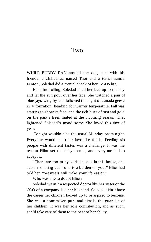#### Two

WHILE BUDDY RAN around the dog park with his friends, a Chihuahua named Thor and a terrier named Fenton, Soledad did a mental check of her To-Do list.

Her mind rolling, Soledad tilted her face up to the sky and let the sun pour over her face. She watched a pair of blue jays wing by and followed the flight of Canada geese in V formation, heading for warmer temperature. Fall was starting to show its face, and the rich hues of rust and gold on the park's trees hinted at the incoming season. That lightened Soledad's mood some. She loved this time of year.

Tonight wouldn't be the usual Monday pasta night. Everyone would get their favourite foods. Feeding six people with different tastes was a challenge. It was the reason Elliot set the daily menus, and everyone had to accept it.

"There are too many varied tastes in this house, and accommodating each one is a burden on you." Elliot had told her. "Set meals will make your life easier."

Who was she to doubt Elliot?

Soledad wasn't a respected doctor like her sister or the COO of a company like her husband. Soledad didn't have the career her children looked up to or aspired to become. She was a homemaker, pure and simple, the guardian of her children. It was her sole contribution, and as such, she'd take care of them to the best of her ability.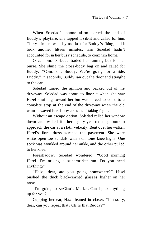When Soledad's phone alarm alerted the end of Buddy's playtime, she tapped it silent and called for him. Thirty minutes went by too fast for Buddy's liking, and it took another fifteen minutes, time Soledad hadn't accounted for in her busy schedule, to coax him home.

Once home, Soledad traded her running belt for her purse. She slung the cross-body bag on and called for Buddy. "Come on, Buddy. We're going for a ride, Buddy." In seconds, Buddy ran out the door and straight to the car.

Soledad turned the ignition and backed out of the driveway. Soledad was about to floor it when she saw Hazel shuffling toward her but was forced to come to a complete stop at the end of the driveway when the old woman waved her flabby arms as if taking flight.

Without an escape option, Soledad rolled her window down and waited for her eighty-year-old neighbour to approach the car at a sloth velocity. Bent over her walker, Hazel's floral dress scraped the pavement. She wore white open-toe sandals with skin tone knee-highs. One sock was wrinkled around her ankle, and the other pulled to her knee.

Foreshadow? Soledad wondered. "Good morning Hazel. I'm making a supermarket run. Do you need anything?"

"Hello, dear, are you going somewhere?" Hazel pushed the thick black-rimmed glasses higher on her nose.

"I'm going to zzzGino's Market. Can I pick anything up for you?"

Cupping her ear, Hazel leaned in closer. "I'm sorry, dear, can you repeat that? Oh, is that Buddy?"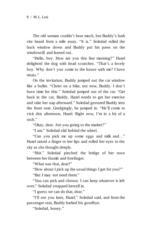The old woman couldn't hear much, but Buddy's bark she heard from a mile away. "It is." Soledad rolled the back window down and Buddy put his paws on the windowsill and leaned out.

"Hello, boy. How are you this fine morning?" Hazel delighted the dog with head scratches. "That's a lovely boy. Why don't you come to the house with me? I have treats."

On the invitation, Buddy jumped out the car window like a bullet. "Christ on a bike, not now, Buddy. I don't have time for this." Soledad jumped out of the car. "Get back in the car, Buddy. Hazel needs to get her exercise and take her nap afterward." Soledad gestured Buddy into the front seat. Grudgingly, he jumped in. "He'll come to visit this afternoon, Hazel. Right now, I'm in a bit of a rush"

"Okay, dear. Are you going to the market?"

"I am." Soledad slid behind the wheel.

"Can you pick me up some eggs and milk and…" Hazel raised a finger to her lips and rolled her eyes to the sky as she thought deeply.

"Shit." Soledad pinched the bridge of her nose between her thumb and forefinger.

"What was that, dear?"

"How about I pick up the usual things I get for you?"

"But I may not need them."

"You can pick and choose. I can keep whatever is left over." Soledad strapped herself in.

"I guess we can do that, dear."

"I'll see you later, Hazel," Soledad said, and from the passenger seat, Buddy barked his goodbye.

"Soledad, honey."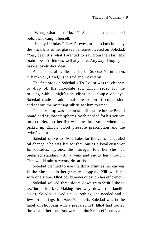"What, what is it, Hazel?" Soledad almost snapped before she caught herself.

"Happy birthday." Hazel's eyes, made to look huge by the thick lens of her glasses, remained riveted on Soledad. "Yes, dear, it's what I wanted to say from the start. My brain doesn't think as well anymore. Anyway, I hope you have a lovely day, dear."

A remorseful smile replaced Soledad's irritation. "Thank you, Hazel," she said and moved on.

The first stop on Soledad's To-Do list was the cleaners to drop off the chocolate suit Elliot needed for the meeting with a highfalutin client in a couple of days. Soledad made an additional note to iron his cobalt shirt and set out the matching silk tie for him to wear.

The next stop was the art supplies store for the Bristol board and Styrofoam spheres Noah needed for his science project. Next on her list was the drug store, where she picked up Elliot's blood pressure prescription and the twins' vitamins.

Soledad drove to Swift Lube for the car's scheduled oil change. She was late for that, but as a loyal customer for decades, Tyrone, the manager, told her she had preferred standing with a wink and snuck her through. That would take a twenty-dollar tip.

Soledad planned to use the thirty minutes her car was in the shop to do her grocery shopping. Kill two birds with one stone. Elliot could never question her efficiency.

Soledad walked three doors down from Swift Lube to zzzGino's Market. Making her way down the familiar aisles, Soledad picked up everything she needed and a few extra things for Hazel's benefit. Soledad was in the habit of shopping with a prepared list. Elliot had rooted the idea in her that lists were conducive to efficiency and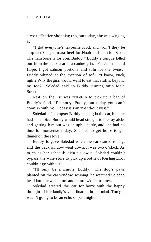a cost-effective shopping trip, but today, she was winging it.

"I got everyone's favourite food, and won't they be surprised? I got roast beef for Noah and ham for Elliot. The ham bone is for you, Buddy." Buddy's tongue lolled out from the back seat in a canine grin. "For Jasmine and Hope, I got salmon portions and tofu for the twins," Buddy whined at the mention of tofu. "I know, yuck, right? Why the girls would want to eat that stuff is beyond me too?" Soledad said to Buddy, turning onto Main Street.

Next on the list was zzzPetCo to pick up a bag of Buddy's food. "I'm sorry, Buddy, but today you can't come in with me. Today it's an in-and-out visit."

Soledad left an upset Buddy barking in the car, but she had no choice. Buddy would head straight to the toy aisle, and getting him out was an uphill battle, and she had no time for nonsense today. She had to get home to get dinner on the stove.

Buddy forgave Soledad when the car started rolling, and the back window went down. It was two o'clock. As much as her schedule didn't allow it, Soledad couldn't bypass the wine store to pick up a bottle of Riesling Elliot couldn't go without.

"I'll only be a minute, Buddy." The dog's paws planted on the car window, whining, he watched Soledad head into the wine store and return within minutes.

Soledad steered the car for home with the happy thought of her family's visit floating in her mind. Tonight wasn't going to be an echo of past nights.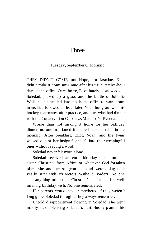#### Three

#### Tuesday, September 8, Morning

THEY DIDN'T COME, not Hope, not Jasmine. Elliot didn't make it home until nine after his usual twelve-hour day at the office. Once home, Elliot barely acknowledged Soledad, picked up a glass and the bottle of Johnnie Walker, and headed into his home office to work some more. Bed followed an hour later. Noah hung out with his hockey teammates after practice, and the twins had dinner with the Conservation Club at zzzMarcello's Pizzeria.

Worse than not making it home for her birthday dinner, no one mentioned it at the breakfast table in the morning. After breakfast, Elliot, Noah, and the twins walked out of her insignificant life into their meaningful ones without saying a word.

Soledad never felt more alone.

Soledad received an email birthday card from her sister Christine, from Africa or whatever God-forsaken place she and her surgeon husband were doing their yearly stint with zzzDoctors Without Borders. No one said anything other than Christine's half-assed but wellmeaning birthday wish. No one remembered.

Her parents would have remembered if they weren't long gone, Soledad thought. They always remember.

Untold disappointment flowing in Soledad, she went mushy inside. Sensing Soledad's hurt, Buddy planted his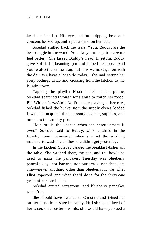head on her lap. His eyes, all but dripping love and concern, looked up, and it put a smile on her face.

Soledad sniffed back the tears. "You, Buddy, are the best doggie in the world. You always manage to make me feel better." She kissed Buddy's head. In return, Buddy gave Soledad a beaming grin and lapped her face. "And you're also the silliest dog, but now we must get on with the day. We have a lot to do today," she said, setting her sorry feelings aside and crossing from the kitchen to the laundry room.

Tapping the playlist Noah loaded on her phone, Soledad searched through for a song to match her mood. Bill Withers's zzzAin't No Sunshine playing in her ears, Soledad fished the bucket from the supply closet, loaded it with the mop and the necessary cleaning supplies, and turned to the laundry pile.

"Join me in the kitchen when the entertainment is over," Soledad said to Buddy, who remained in the laundry room mesmerized when she set the washing machine to wash the clothes she didn't get yesterday.

In the kitchen, Soledad cleared the breakfast dishes off the table. She washed them, the pan, and the bowl she used to make the pancakes. Tuesday was blueberry pancake day, not banana, not buttermilk, not chocolate chip—never anything other than blueberry. It was what Elliot expected and what she'd done for the thirty-one years of her married life.

Soledad craved excitement, and blueberry pancakes weren't it.

She should have listened to Christine and joined her on her crusade to save humanity. Had she taken heed of her wiser, older sister's words, she would have pursued a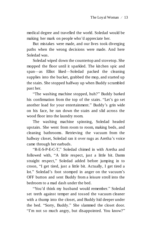medical degree and travelled the world. Soledad would be making her mark on people who'd appreciate her.

But mistakes were made, and our lives took diverging paths when the wrong decisions were made. And here Soledad was.

Soledad wiped down the countertop and stovetop. She mopped the floor until it sparkled. The kitchen spic and span—as Elliot liked—Soledad packed the cleaning supplies into the bucket, grabbed the mop, and started up the stairs. She stopped halfway up when Buddy scrambled past her.

"The washing machine stopped, huh?" Buddy barked his confirmation from the top of the stairs. "Let's go set another load for your entertainment." Buddy's grin wide on his face, he ran down the stairs and slid across the wood floor into the laundry room.

The washing machine spinning, Soledad headed upstairs. She went from room to room, making beds, and cleaning bathrooms. Retrieving the vacuum from the hallway closet, Soledad ran it over rugs as Aretha's voice came through her earbuds.

"R-E-S-P-E-C-T," Soledad chimed in with Aretha and followed with, "A little respect, just a little bit. Damn straight respect," Soledad added before jumping in to croon, "I get tired, just a little bit. Actually, I get tired a lot." Soledad's foot stomped in anger on the vacuum's OFF button and sent Buddy from a leisure stroll into the bedroom to a mad dash under the bed.

"You'd think my husband would remember." Soledad set teeth against temper and tossed the vacuum cleaner with a thump into the closet, and Buddy hid deeper under the bed. "Sorry, Buddy." She slammed the closet door. "I'm not so much angry, but disappointed. You know?"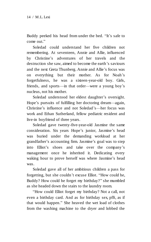Buddy peeked his head from under the bed. "It's safe to come out."

Soledad could understand her five children not remembering. At seventeen, Annie and Allie, influenced by Christine's adventures of her travels and the destruction she saw, aimed to become the earth's saviours and the next Greta Thunberg. Annie and Allie's focus was on everything but their mother. As for Noah's forgetfulness, he was a sixteen-year-old boy. Girls, friends, and sports—in that order—were a young boy's nucleus, not his mother.

Soledad understood her eldest daughter's oversight. Hope's pursuits of fulfilling her doctoring dream—again, Christine's influence and not Soledad's—her focus was work and Ethan Sutherland, fellow pediatric resident and live-in boyfriend of three years.

Soledad gave twenty-five-year-old Jasmine the same consideration. Six years Hope's junior, Jasmine's head was buried under the demanding workload at her grandfather's accounting firm. Jasmine's goal was to step into Elliot's shoes and take over the company's management once he inherited it. Dedicating every waking hour to prove herself was where Jasmine's head was.

Soledad gave all of her ambitious children a pass for forgetting, but she couldn't excuse Elliot. "How could he, Buddy? How could he forget my birthday?" she mumbled as she headed down the stairs to the laundry room.

"How could Elliot forget my birthday? Not a call, not even a birthday card. And as for birthday sex, pfft, as if that would happen." She heaved the wet load of clothes from the washing machine to the dryer and lobbed the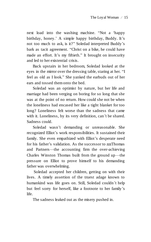next load into the washing machine. "Not a 'happy birthday, honey.' A simple happy birthday, Buddy. It's not too much to ask, is it?" Soledad interpreted Buddy's bark as tacit agreement. "Christ on a bike, he could have made an effort. It's my fiftieth." It brought on insecurity and led to her existential crisis.

Back upstairs in her bedroom, Soledad looked at the eyes in the mirror over the dressing table, staring at her. "I feel as old as I look." She yanked the earbuds out of her ears and tossed them onto the bed.

Soledad was an optimist by nature, but her life and marriage had been verging on boring for so long that she was at the point of no return. How could she not be when the loneliness had encased her like a tight blanket for too long? Loneliness felt worse than the sadness that came with it. Loneliness, by its very definition, can't be shared. Sadness could.

Soledad wasn't demanding or unreasonable. She recognized Elliot's work responsibilities. It sustained their family. She even empathized with Elliot's desperate need for his father's validation. As the successor to zzzThomas and Partners—the accounting firm the over-achieving Charles Winston Thomas built from the ground up—the pressure on Elliot to prove himself to his demanding father was overwhelming.

Soledad accepted her children, getting on with their lives. A timely assertion of the truest adage known to humankind was life goes on. Still, Soledad couldn't help but feel sorry for herself, like a footnote to her family's life.

The sadness leaked out as the misery pushed in.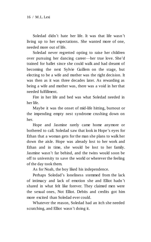Soledad didn't hate her life. It was that life wasn't living up to her expectations. She wanted more of one, needed more out of life.

Soledad never regretted opting to raise her children over pursuing her dancing career—her true love. She'd trained for ballet since she could walk and had dreamt of becoming the next Sylvie Guillem on the stage, but electing to be a wife and mother was the right decision. It was then as it was three decades later. As rewarding as being a wife and mother was, there was a void in her that needed fulfillment.

Fire in her life and bed was what Soledad needed in her life.

Maybe it was the onset of mid-life hitting, burnout or the impending empty nest syndrome crushing down on her.

Hope and Jasmine rarely came home anymore or bothered to call. Soledad saw that look in Hope's eyes for Ethan that a woman gets for the man she plans to walk her down the aisle. Hope was already lost to her work and Ethan and in time, she would be lost to her family. Jasmine wasn't far behind, and the twins would soon be off to university to save the world or wherever the feeling of the day took them.

As for Noah, the boy liked his independence.

Perhaps Soledad's loneliness stemmed from the lack of intimacy and lack of emotion she and Elliot hadn 't shared in what felt like forever. They claimed men were the sexual ones, Not Elliot. Debits and credits got him more excited than Soledad ever could.

Whatever the reason, Soledad had an itch she needed scratching, and Elliot wasn't doing it.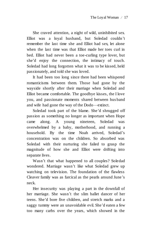She craved attention, a night of wild, uninhibited sex. Elliot was a loyal husband, but Soledad couldn't remember the last time she and Elliot had sex, let alone when the last time was that Elliot made her toes curl in bed. Elliot had never been a toe-curling type lover, but she'd enjoy the connection, the intimacy of touch. Soledad had long forgotten what it was to be kissed, held passionately, and told she was loved.

It had been too long since there had been whispered romanticisms between them. Those had gone by the wayside shortly after their marriage when Soledad and Elliot became comfortable. The goodbye kisses, the I love you, and passionate moments shared between hus band and wife had gone the way of the Dodo—extinct.

Soledad took part of the blame. She'd shrugged off passion as something no longer as important when Hope came along. A young nineteen, Soledad was overwhelmed by a baby, motherhood, and running a household. By the time Noah arrived, Soledad's concentration was on the children. So absorbed was Soledad with their nurturing she failed to grasp the magnitude of how she and Elliot were drifting into separate lives.

Wasn't that what happened to all couples? Soledad wondered. Marriage wasn't like what Soledad grew up watching on television. The foundation of the flawless Cleaver family was as farcical as the pearls around June's neck.

Her insecurity was playing a part in the downfall of her marriage. She wasn't the slim ballet dancer of her teens. She'd bore five children, and stretch marks and a saggy tummy were an unavoidable evil. She'd eaten a few too many carbs over the years, which showed in the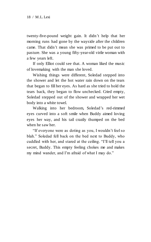twenty-five-pound weight gain. It didn't help that her morning runs had gone by the wayside after the children came. That didn't mean she was primed to be put out to pasture. She was a young fifty-year-old virile woman with a few years left.

If only Elliot could see that. A woman liked the music of lovemaking with the man she loved.

Wishing things were different, Soledad stepped into the shower and let the hot water rain down on the tears that began to fill her eyes. As hard as she tried to hold the tears back, they began to flow unchecked. Cried empty, Soledad stepped out of the shower and wrapped her wet body into a white towel.

Walking into her bedroom, Soledad's red-rimmed eyes curved into a soft smile when Buddy aimed loving eyes her way, and his tail crazily thumped on the bed when he saw her.

"If everyone were as doting as you, I wouldn't feel so blah." Soledad fell back on the bed next to Buddy, who cuddled with her, and stared at the ceiling. "I'll tell you a secret, Buddy. This empty feeling chokes me and makes my mind wander, and I'm afraid of what I may do."